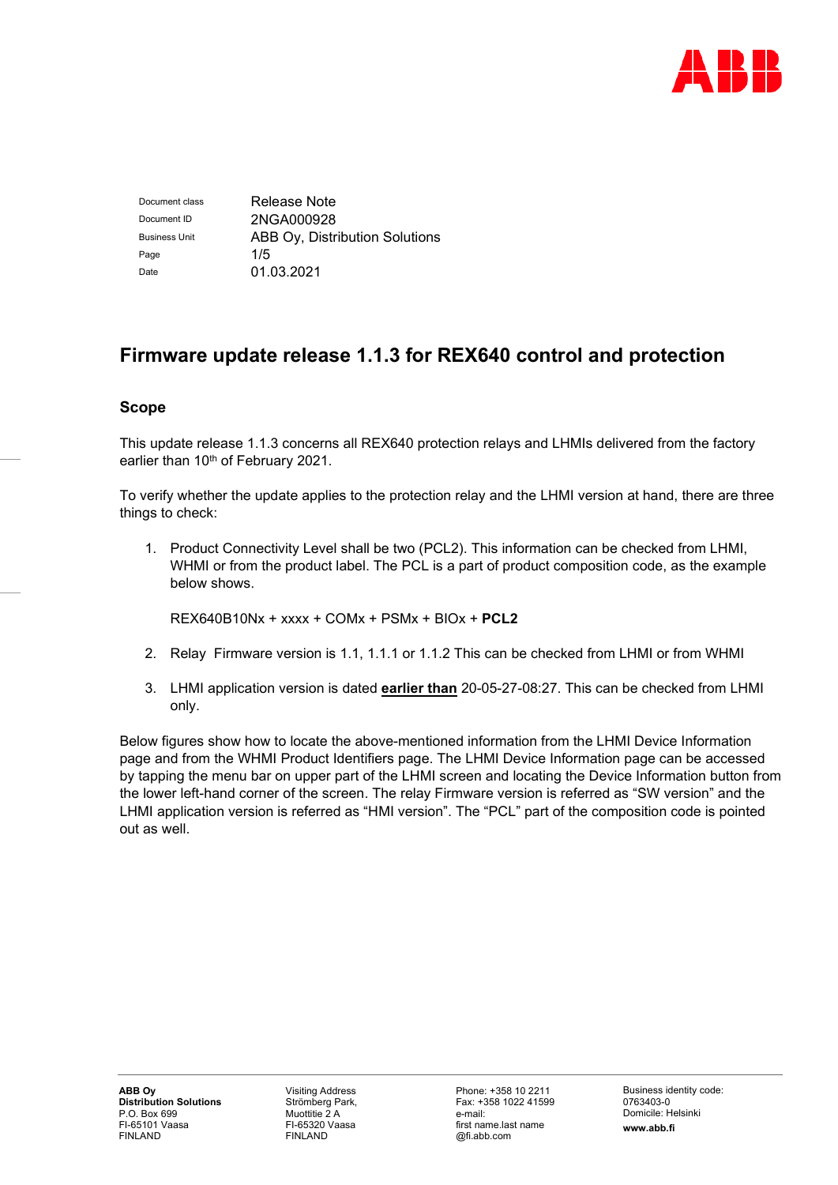

Document class Release Note Document ID 2NGA000928 Business Unit **ABB Ov, Distribution Solutions** Page 1/5 Date 01.03.2021

# **Firmware update release 1.1.3 for REX640 control and protection**

# **Scope**

This update release 1.1.3 concerns all REX640 protection relays and LHMIs delivered from the factory earlier than 10<sup>th</sup> of February 2021.

To verify whether the update applies to the protection relay and the LHMI version at hand, there are three things to check:

1. Product Connectivity Level shall be two (PCL2). This information can be checked from LHMI, WHMI or from the product label. The PCL is a part of product composition code, as the example below shows.

REX640B10Nx + xxxx + COMx + PSMx + BIOx + **PCL2**

- 2. Relay Firmware version is 1.1, 1.1.1 or 1.1.2 This can be checked from LHMI or from WHMI
- 3. LHMI application version is dated **earlier than** 20-05-27-08:27. This can be checked from LHMI only.

Below figures show how to locate the above-mentioned information from the LHMI Device Information page and from the WHMI Product Identifiers page. The LHMI Device Information page can be accessed by tapping the menu bar on upper part of the LHMI screen and locating the Device Information button from the lower left-hand corner of the screen. The relay Firmware version is referred as "SW version" and the LHMI application version is referred as "HMI version". The "PCL" part of the composition code is pointed out as well.

Visiting Address Strömberg Park, Muottitie 2 A FI-65320 Vaasa FINLAND

Phone: +358 10 2211 Fax: +358 1022 41599 e-mail: first name.last name @fi.abb.com

Business identity code: 0763403-0 Domicile: Helsinki **www.abb.fi**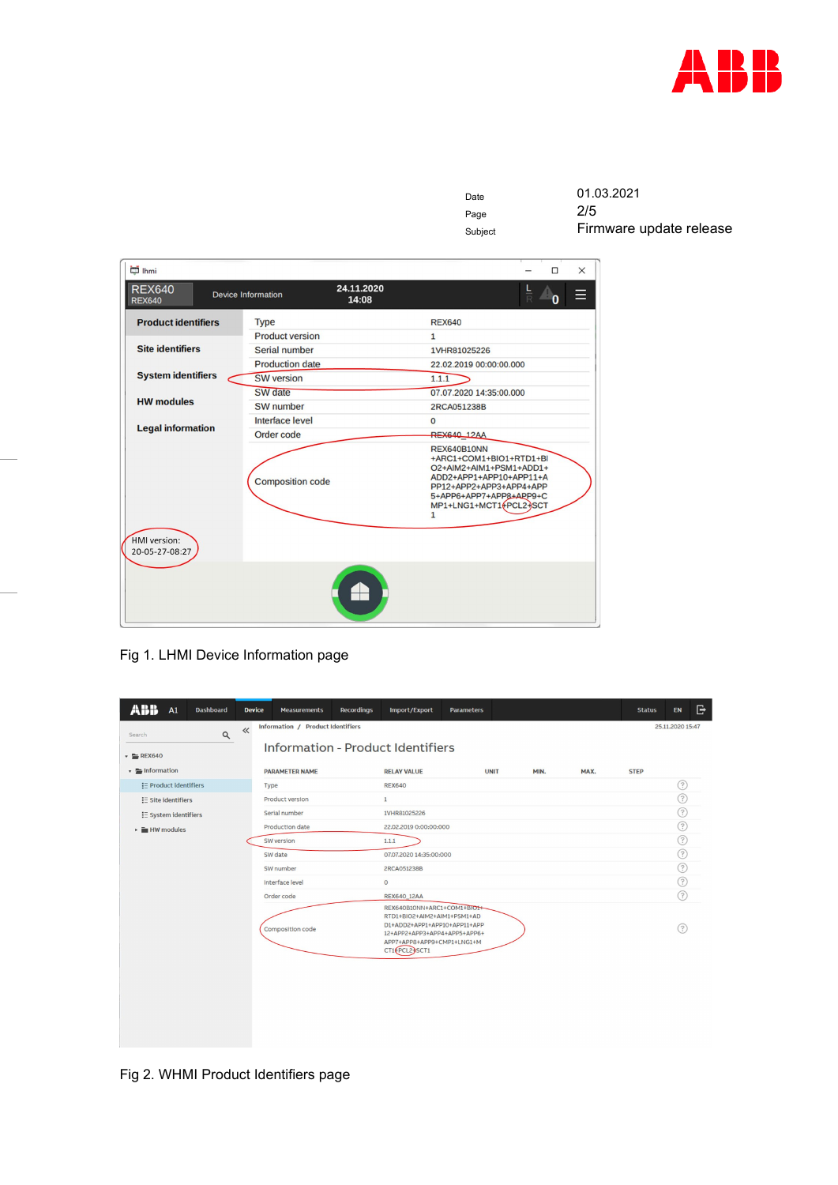

| Date    | 01.03.2021              |
|---------|-------------------------|
| Page    | 2/5                     |
| Subject | Firmware update release |

| in lhmi                                |                           |                     |                                                                                                                                                                                                     | $\Box$                        | $\times$ |
|----------------------------------------|---------------------------|---------------------|-----------------------------------------------------------------------------------------------------------------------------------------------------------------------------------------------------|-------------------------------|----------|
| <b>REX640</b><br><b>REX640</b>         | <b>Device Information</b> | 24.11.2020<br>14:08 |                                                                                                                                                                                                     | $rac{\mathsf{L}}{\mathsf{R}}$ |          |
| <b>Product identifiers</b>             | <b>Type</b>               |                     | <b>REX640</b>                                                                                                                                                                                       |                               |          |
|                                        | <b>Product version</b>    |                     | $\mathbf{1}$                                                                                                                                                                                        |                               |          |
| <b>Site identifiers</b>                | Serial number             |                     | 1VHR81025226                                                                                                                                                                                        |                               |          |
|                                        | <b>Production date</b>    |                     | 22.02.2019 00:00:00.000                                                                                                                                                                             |                               |          |
| <b>System identifiers</b>              | <b>SW</b> version         |                     | 1.1.1                                                                                                                                                                                               |                               |          |
|                                        | SW date                   |                     | 07.07.2020 14:35:00.000                                                                                                                                                                             |                               |          |
| <b>HW modules</b>                      | SW number                 |                     | 2RCA051238B                                                                                                                                                                                         |                               |          |
|                                        | Interface level           |                     | $\mathbf{0}$                                                                                                                                                                                        |                               |          |
| <b>Legal information</b><br>Order code |                           |                     | <b>REX640_12AA</b>                                                                                                                                                                                  |                               |          |
|                                        | <b>Composition code</b>   |                     | <b>REX640B10NN</b><br>+ARC1+COM1+BIO1+RTD1+BI<br>O2+AIM2+AIM1+PSM1+ADD1+<br>ADD2+APP1+APP10+APP11+A<br>PP12+APP2+APP3+APP4+APP<br>5+APP6+APP7+APP8+APP9+C<br>MP1+LNG1+MCT1+PCL2+SCT<br>$\mathbf{1}$ |                               |          |
| HMI version:<br>20-05-27-08:27         |                           |                     |                                                                                                                                                                                                     |                               |          |
|                                        |                           |                     |                                                                                                                                                                                                     |                               |          |

Fig 1. LHMI Device Information page

| <b>PARAMETER NAME</b><br><b>RELAY VALUE</b><br><b>UNIT</b><br>MIN.<br>MAX.<br><b>STEP</b><br>?<br>E Product identifiers<br><b>REX640</b><br>Type<br>☉<br>Product version<br>$\mathbf{1}$<br>$\equiv$ Site identifiers<br>☉<br>Serial number<br>1VHR81025226<br>E System identifiers<br>☉<br>Production date<br>22.02.2019 0:00:00:000<br>☉<br>SW version<br>1.1.1<br>ඹ<br>SW date<br>07.07.2020 14:35:00:000<br>?<br>SW number<br>2RCA051238B<br>?<br>$\circ$<br>Interface level<br>?<br>Order code<br><b>REX640_12AA</b><br>REX640B10NN+ARC1+COM1+BIO1+<br>RTD1+BIO2+AIM2+AIM1+PSM1+AD<br>D1+ADD2+APP1+APP10+APP11+APP<br>ᢙ<br>Composition code<br>12+APP2+APP3+APP4+APP5+APP6+<br>APP7+APP8+APP9+CMP1+LNG1+M<br>CT1+PCL2+SCT1 | $\alpha$<br>Search<br>$\mathbf{F}$ REX640       | $\ll$ | Information - Product Identifiers |  |  |  |
|---------------------------------------------------------------------------------------------------------------------------------------------------------------------------------------------------------------------------------------------------------------------------------------------------------------------------------------------------------------------------------------------------------------------------------------------------------------------------------------------------------------------------------------------------------------------------------------------------------------------------------------------------------------------------------------------------------------------------------|-------------------------------------------------|-------|-----------------------------------|--|--|--|
|                                                                                                                                                                                                                                                                                                                                                                                                                                                                                                                                                                                                                                                                                                                                 | $\mathbf{r}$ = Information                      |       |                                   |  |  |  |
|                                                                                                                                                                                                                                                                                                                                                                                                                                                                                                                                                                                                                                                                                                                                 |                                                 |       |                                   |  |  |  |
|                                                                                                                                                                                                                                                                                                                                                                                                                                                                                                                                                                                                                                                                                                                                 |                                                 |       |                                   |  |  |  |
|                                                                                                                                                                                                                                                                                                                                                                                                                                                                                                                                                                                                                                                                                                                                 |                                                 |       |                                   |  |  |  |
|                                                                                                                                                                                                                                                                                                                                                                                                                                                                                                                                                                                                                                                                                                                                 | $\blacktriangleright$ $\blacksquare$ HW modules |       |                                   |  |  |  |
|                                                                                                                                                                                                                                                                                                                                                                                                                                                                                                                                                                                                                                                                                                                                 |                                                 |       |                                   |  |  |  |
|                                                                                                                                                                                                                                                                                                                                                                                                                                                                                                                                                                                                                                                                                                                                 |                                                 |       |                                   |  |  |  |
|                                                                                                                                                                                                                                                                                                                                                                                                                                                                                                                                                                                                                                                                                                                                 |                                                 |       |                                   |  |  |  |
|                                                                                                                                                                                                                                                                                                                                                                                                                                                                                                                                                                                                                                                                                                                                 |                                                 |       |                                   |  |  |  |
|                                                                                                                                                                                                                                                                                                                                                                                                                                                                                                                                                                                                                                                                                                                                 |                                                 |       |                                   |  |  |  |
|                                                                                                                                                                                                                                                                                                                                                                                                                                                                                                                                                                                                                                                                                                                                 |                                                 |       |                                   |  |  |  |
|                                                                                                                                                                                                                                                                                                                                                                                                                                                                                                                                                                                                                                                                                                                                 |                                                 |       |                                   |  |  |  |
|                                                                                                                                                                                                                                                                                                                                                                                                                                                                                                                                                                                                                                                                                                                                 |                                                 |       |                                   |  |  |  |

Fig 2. WHMI Product Identifiers page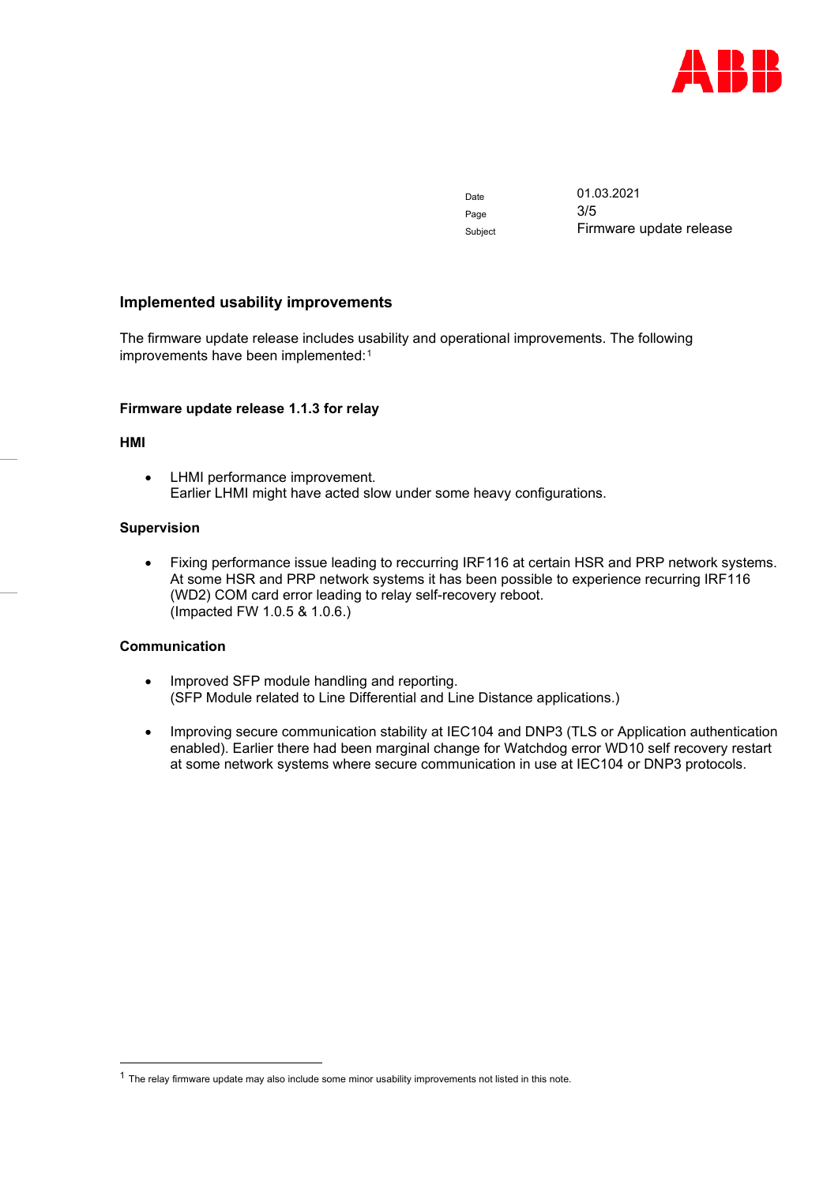

Date 01.03.2021 Page 3/5 Subject Firmware update release

# **Implemented usability improvements**

The firmware update release includes usability and operational improvements. The following improvements have been implemented:<sup>[1](#page-2-0)</sup>

#### **Firmware update release 1.1.3 for relay**

#### **HMI**

• LHMI performance improvement. Earlier LHMI might have acted slow under some heavy configurations.

## **Supervision**

• Fixing performance issue leading to reccurring IRF116 at certain HSR and PRP network systems. At some HSR and PRP network systems it has been possible to experience recurring IRF116 (WD2) COM card error leading to relay self-recovery reboot. (Impacted FW 1.0.5 & 1.0.6.)

# **Communication**

- Improved SFP module handling and reporting. (SFP Module related to Line Differential and Line Distance applications.)
- Improving secure communication stability at IEC104 and DNP3 (TLS or Application authentication enabled). Earlier there had been marginal change for Watchdog error WD10 self recovery restart at some network systems where secure communication in use at IEC104 or DNP3 protocols.

<span id="page-2-0"></span> $1$  The relay firmware update may also include some minor usability improvements not listed in this note.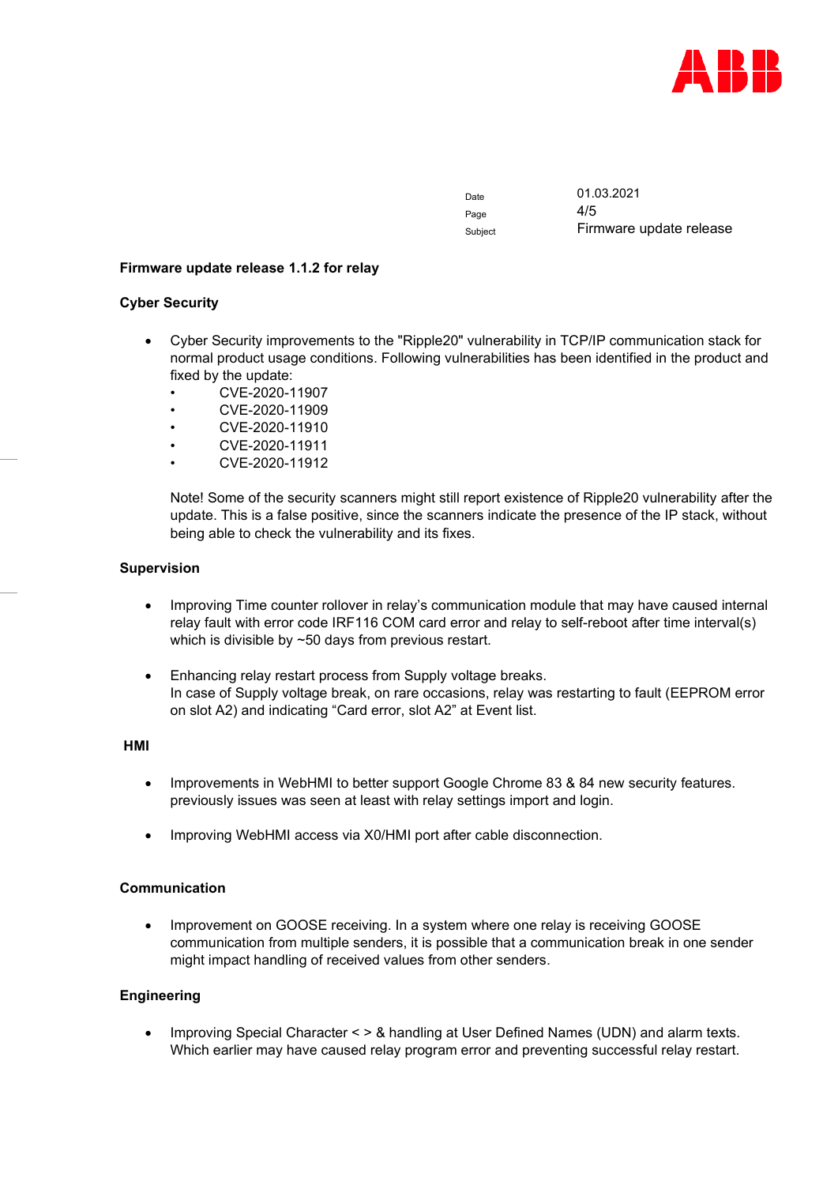

Page  $4/5$ 

Date 01.03.2021 Subject Firmware update release

## **Firmware update release 1.1.2 for relay**

## **Cyber Security**

- Cyber Security improvements to the "Ripple20" vulnerability in TCP/IP communication stack for normal product usage conditions. Following vulnerabilities has been identified in the product and fixed by the update:
	- CVE-2020-11907
	- CVE-2020-11909
	- CVE-2020-11910
	- CVE-2020-11911
	- CVE-2020-11912

Note! Some of the security scanners might still report existence of Ripple20 vulnerability after the update. This is a false positive, since the scanners indicate the presence of the IP stack, without being able to check the vulnerability and its fixes.

## **Supervision**

- Improving Time counter rollover in relay's communication module that may have caused internal relay fault with error code IRF116 COM card error and relay to self-reboot after time interval(s) which is divisible by ~50 days from previous restart.
- Enhancing relay restart process from Supply voltage breaks. In case of Supply voltage break, on rare occasions, relay was restarting to fault (EEPROM error on slot A2) and indicating "Card error, slot A2" at Event list.

#### **HMI**

- Improvements in WebHMI to better support Google Chrome 83 & 84 new security features. previously issues was seen at least with relay settings import and login.
- Improving WebHMI access via X0/HMI port after cable disconnection.

# **Communication**

• Improvement on GOOSE receiving. In a system where one relay is receiving GOOSE communication from multiple senders, it is possible that a communication break in one sender might impact handling of received values from other senders.

# **Engineering**

• Improving Special Character < > & handling at User Defined Names (UDN) and alarm texts. Which earlier may have caused relay program error and preventing successful relay restart.